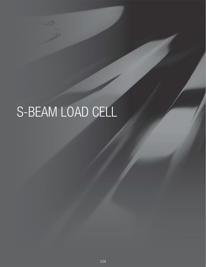# S-BEAM LOAD CELL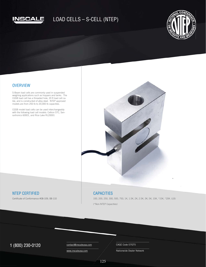



#### **OVERVIEW**

S-Beam load cells are commonly used in suspended weighing applications such as hoppers and tanks. The CGSB load cell has a threaded hole, 20 ft load cell cable, and is constructed of alloy steel. NTEP approved models are from 250 lb to 20,000 lb capacities.

CGSB model load cells can be used interchangeably with the following load cell models: Celtron STC, Sensortronics 60001, and Rice Lake RL20001



### NTEP CERTIFIED

Certificate of Conformance #08-109, 08-110

#### **CAPACITIES**

100, 200, 250, 300, 500, 750, 1K, 1.5K, 2K, 2.5K, 3K, 5K, 10K, \*15K, \*20K. (LB) (\*Non-NTEP Capacities)

## $1 (800) 230 - 0120$  Contact@inscaleusa.com CAGE Code 07GT5

contact@inscaleusa.com

www.inscaleusa.com

Nationwide Dealer Network

125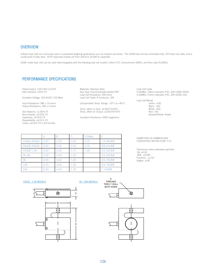#### **OVERVIEW**

S-Beam load cells are commonly used in suspended weighing applications such as hoppers and tanks. The CGSB load cell has a threaded hole, 20 ft load cell cable, and is constructed of alloy steel. NTEP approved models are from 250 lb to 20,000 lb capacities.

CGSB model load cells can be used interchangeably with the following load cell models: Celtron STC, Sensortronics 60001, and Rice Lake RL20001

#### PERFORMANCE SPECIFICATIONS

Rated Output: 3.00 mV/V ±0.25% Safe Overload: 150% FS

Excitation Voltage: 10V AC/DC (15V Max)

Input Resistance: 385 ± 10 ohms Output Resistance:  $350 \pm 3$  ohms

Zero Balance: ±1.00% FS Non-linearity: ±0.03% FS Hysteresis: ±0.02% FS Repeatability: ±0.01% FS Creep: ±0.02% FS in 30 minutes Materials: Stainless Steel Seal Type: Environmentally Sealed IP67 Load Cell Resistance: 350 ohms Load Cell Cable: 4 Conductor, 20ft

Compensated Temp. Range: -10º C to +40º C

Temp. effect on Zero: ±0.0027%FS/ºC Temp. effect on Output: ±0.0015%FS/ºC

Insulation Resistance: 5000 megaohms

|             |      | B    |       | D (Max) | F         |
|-------------|------|------|-------|---------|-----------|
| 100LB-200LB | 2.50 | 2.00 | 0.50  | 0.75    | 1/4-28UNF |
| 250LB-300LB | 3.00 | 2.00 | 0.50  | 0.75    | 3/8-24UNF |
| 500LB-1.5K  | 3.00 | 2.00 | 0.75  | 1.00    | 1/2-20UNF |
| $2K-3K$     | 3.00 | 2.00 | 0.001 |         | 1/2-20UNF |
| 5K          | 4.25 | 3.00 | 1.00  |         | 3/4-16UNF |
| 10K         | 4.75 | 3.50 | 1.00  |         | 3/4-16UNF |
| 15K         | 5.50 | 4.00 | 1.25  |         | 1-14UNF   |

DIAMETERS IN COMMON AXIS

 Green: +EXC Black: -EXC White: +SIG Red: -SIG

Braided/Yellow: Shield

4-26AWG, 3.8mm diameter, PVC, 20ft (100lb-200lb) 4-26AWG, 5.6mm diameter, PVC, 20ft (250lb-10k)

Load Cell Cable

Load Cell Wiring

CONCENTRIC WITHIN 0.005 T.I.R.

Tolerances unless otherwise specified: .XX: ±0.02 .XXX: ±0.005 Fractions: ±1/16" Angles:  $\pm 1/8$ "

#### 100LB - 1.5K MODELS 2K - 20K MODELS